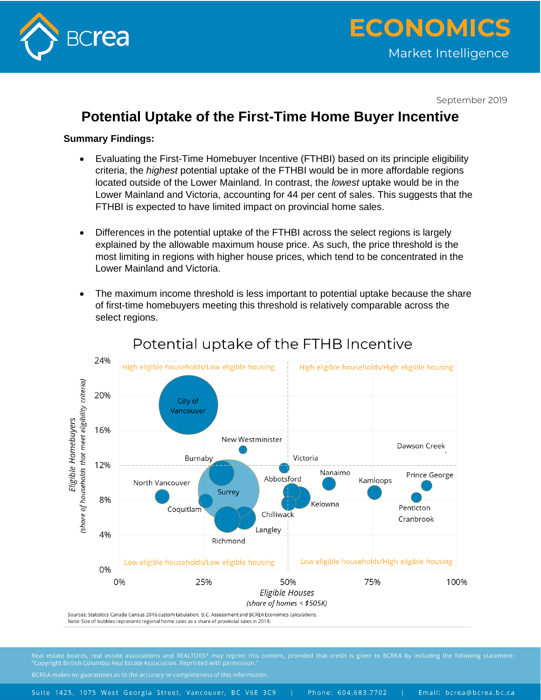

September 2019

## **Potential Uptake of the First-Time Home Buyer Incentive**

#### **Summary Findings:**

- Evaluating the First-Time Homebuyer Incentive (FTHBI) based on its principle eligibility criteria, the *highest* potential uptake of the FTHBI would be in more affordable regions located outside of the Lower Mainland. In contrast, the *lowest* uptake would be in the Lower Mainland and Victoria, accounting for 44 per cent of sales. This suggests that the FTHBI is expected to have limited impact on provincial home sales.
- Differences in the potential uptake of the FTHBI across the select regions is largely explained by the allowable maximum house price. As such, the price threshold is the most limiting in regions with higher house prices, which tend to be concentrated in the Lower Mainland and Victoria.
- The maximum income threshold is less important to potential uptake because the share of first-time homebuyers meeting this threshold is relatively comparable across the select regions.



# Potential uptake of the FTHB Incentive

Sources: Statisitics Canada Census 2016 custom tabulation, B.C. Assessment and BCREA Economics calculations. Note: Size of bubbles represents regional home sales as a share of provincial sales in 2018.

BCREA makes no guarantees as to the accuracy or completeness of this information.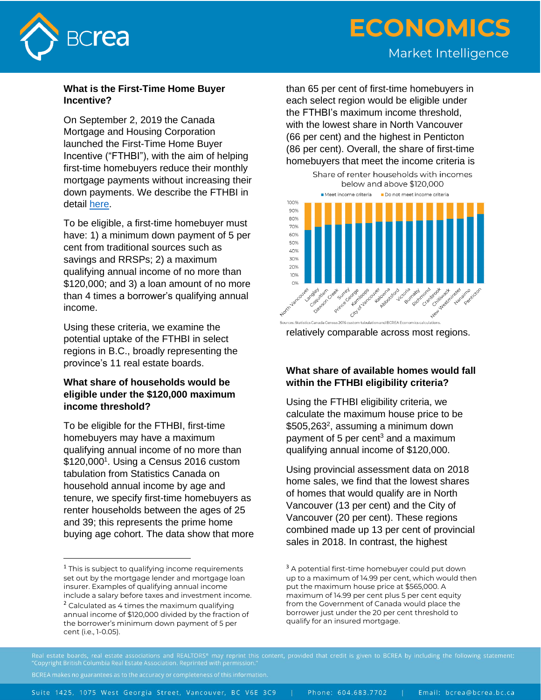

# **ECONOMICS** Market Intelligence

#### **What is the First-Time Home Buyer Incentive?**

On September 2, 2019 the Canada Mortgage and Housing Corporation launched the First-Time Home Buyer Incentive ("FTHBI"), with the aim of helping first-time homebuyers reduce their monthly mortgage payments without increasing their down payments. We describe the FTHBI in detail [here.](https://www.bcrea.bc.ca/advocacy/first-time-home-buyer-incentive-launches-in-september/)

To be eligible, a first-time homebuyer must have: 1) a minimum down payment of 5 per cent from traditional sources such as savings and RRSPs; 2) a maximum qualifying annual income of no more than \$120,000; and 3) a loan amount of no more than 4 times a borrower's qualifying annual income.

Using these criteria, we examine the potential uptake of the FTHBI in select regions in B.C., broadly representing the province's 11 real estate boards.

### **What share of households would be eligible under the \$120,000 maximum income threshold?**

To be eligible for the FTHBI, first-time homebuyers may have a maximum qualifying annual income of no more than \$120,000<sup>1</sup>. Using a Census 2016 custom tabulation from Statistics Canada on household annual income by age and tenure, we specify first-time homebuyers as renter households between the ages of 25 and 39; this represents the prime home buying age cohort. The data show that more than 65 per cent of first-time homebuyers in each select region would be eligible under the FTHBI's maximum income threshold, with the lowest share in North Vancouver (66 per cent) and the highest in Penticton (86 per cent). Overall, the share of first-time homebuyers that meet the income criteria is





## **What share of available homes would fall within the FTHBI eligibility criteria?**

Using the FTHBI eligibility criteria, we calculate the maximum house price to be \$505,263<sup>2</sup>, assuming a minimum down payment of 5 per cent $3$  and a maximum qualifying annual income of \$120,000.

Using provincial assessment data on 2018 home sales, we find that the lowest shares of homes that would qualify are in North Vancouver (13 per cent) and the City of Vancouver (20 per cent). These regions combined made up 13 per cent of provincial sales in 2018. In contrast, the highest

BCREA makes no guarantees as to the accuracy or completeness of this information.

Email: bcrea@bcrea.bc.ca Suite 1425, 1075 West Georgia Street, Vancouver, BC V6E 3C9 Phone: 604.683.7702

 $^{\rm 1}$  This is subject to qualifying income requirements set out by the mortgage lender and mortgage loan insurer. Examples of qualifying annual income include a salary before taxes and investment income.

 $2$  Calculated as 4 times the maximum qualifying annual income of \$120,000 divided by the fraction of the borrower's minimum down payment of 5 per cent (i.e., 1-0.05).

<sup>&</sup>lt;sup>3</sup> A potential first-time homebuyer could put down up to a maximum of 14.99 per cent, which would then put the maximum house price at \$565,000. A maximum of 14.99 per cent plus 5 per cent equity from the Government of Canada would place the borrower just under the 20 per cent threshold to qualify for an insured mortgage.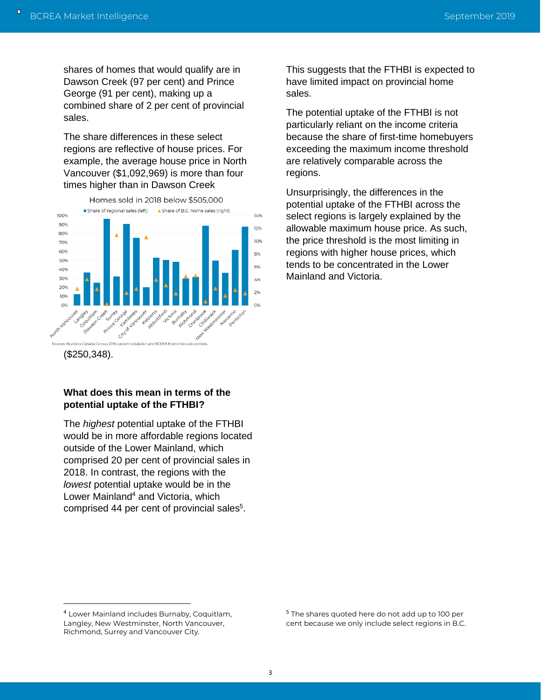shares of homes that would qualify are in Dawson Creek (97 per cent) and Prince George (91 per cent), making up a combined share of 2 per cent of provincial sales.

The share differences in these select regions are reflective of house prices. For example, the average house price in North Vancouver (\$1,092,969) is more than four times higher than in Dawson Creek



(\$250,348).

#### **What does this mean in terms of the potential uptake of the FTHBI?**

The *highest* potential uptake of the FTHBI would be in more affordable regions located outside of the Lower Mainland, which comprised 20 per cent of provincial sales in 2018. In contrast, the regions with the *lowest* potential uptake would be in the Lower Mainland<sup>4</sup> and Victoria, which comprised 44 per cent of provincial sales<sup>5</sup>.

This suggests that the FTHBI is expected to have limited impact on provincial home sales.

The potential uptake of the FTHBI is not particularly reliant on the income criteria because the share of first-time homebuyers exceeding the maximum income threshold are relatively comparable across the regions.

Unsurprisingly, the differences in the potential uptake of the FTHBI across the select regions is largely explained by the allowable maximum house price. As such, the price threshold is the most limiting in regions with higher house prices, which tends to be concentrated in the Lower Mainland and Victoria.

<sup>4</sup> Lower Mainland includes Burnaby, Coquitlam, Langley, New Westminster, North Vancouver, Richmond, Surrey and Vancouver City.

<sup>&</sup>lt;sup>5</sup> The shares quoted here do not add up to 100 per cent because we only include select regions in B.C.